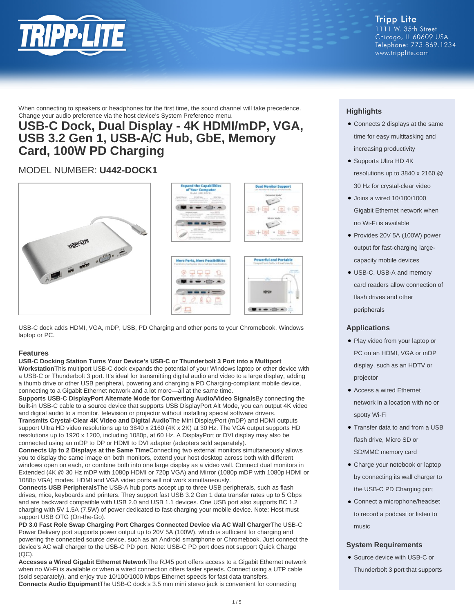

When connecting to speakers or headphones for the first time, the sound channel will take precedence. Change your audio preference via the host device's System Preference menu.

## **USB-C Dock, Dual Display - 4K HDMI/mDP, VGA, USB 3.2 Gen 1, USB-A/C Hub, GbE, Memory Card, 100W PD Charging**

## MODEL NUMBER: **U442-DOCK1**



USB-C dock adds HDMI, VGA, mDP, USB, PD Charging and other ports to your Chromebook, Windows laptop or PC.

#### **Features**

#### **USB-C Docking Station Turns Your Device's USB-C or Thunderbolt 3 Port into a Multiport**

**Workstation**This multiport USB-C dock expands the potential of your Windows laptop or other device with a USB-C or Thunderbolt 3 port. It's ideal for transmitting digital audio and video to a large display, adding a thumb drive or other USB peripheral, powering and charging a PD Charging-compliant mobile device, connecting to a Gigabit Ethernet network and a lot more—all at the same time.

**Supports USB-C DisplayPort Alternate Mode for Converting Audio/Video Signals**By connecting the built-in USB-C cable to a source device that supports USB DisplayPort Alt Mode, you can output 4K video and digital audio to a monitor, television or projector without installing special software drivers. **Transmits Crystal-Clear 4K Video and Digital Audio**The Mini DisplayPort (mDP) and HDMI outputs support Ultra HD video resolutions up to 3840 x 2160 (4K x 2K) at 30 Hz. The VGA output supports HD resolutions up to 1920 x 1200, including 1080p, at 60 Hz. A DisplayPort or DVI display may also be connected using an mDP to DP or HDMI to DVI adapter (adapters sold separately).

**Connects Up to 2 Displays at the Same Time**Connecting two external monitors simultaneously allows you to display the same image on both monitors, extend your host desktop across both with different windows open on each, or combine both into one large display as a video wall. Connect dual monitors in Extended (4K @ 30 Hz mDP with 1080p HDMI or 720p VGA) and Mirror (1080p mDP with 1080p HDMI or 1080p VGA) modes. HDMI and VGA video ports will not work simultaneously.

**Connects USB Peripherals**The USB-A hub ports accept up to three USB peripherals, such as flash drives, mice, keyboards and printers. They support fast USB 3.2 Gen 1 data transfer rates up to 5 Gbps and are backward compatible with USB 2.0 and USB 1.1 devices. One USB port also supports BC 1.2 charging with 5V 1.5A (7.5W) of power dedicated to fast-charging your mobile device. Note: Host must support USB OTG (On-the-Go).

**PD 3.0 Fast Role Swap Charging Port Charges Connected Device via AC Wall Charger**The USB-C Power Delivery port supports power output up to 20V 5A (100W), which is sufficient for charging and powering the connected source device, such as an Android smartphone or Chromebook. Just connect the device's AC wall charger to the USB-C PD port. Note: USB-C PD port does not support Quick Charge (QC).

**Accesses a Wired Gigabit Ethernet Network**The RJ45 port offers access to a Gigabit Ethernet network when no Wi-Fi is available or when a wired connection offers faster speeds. Connect using a UTP cable (sold separately), and enjoy true 10/100/1000 Mbps Ethernet speeds for fast data transfers. **Connects Audio Equipment**The USB-C dock's 3.5 mm mini stereo jack is convenient for connecting

### **Highlights**

 $-46 + 26$ 

 $+ 100 + 100$ 

- Connects 2 displays at the same time for easy multitasking and increasing productivity
- Supports Ultra HD 4K resolutions up to 3840 x 2160 @ 30 Hz for crystal-clear video
- Joins a wired 10/100/1000 Gigabit Ethernet network when no Wi-Fi is available
- Provides 20V 5A (100W) power output for fast-charging largecapacity mobile devices
- USB-C, USB-A and memory card readers allow connection of flash drives and other peripherals

#### **Applications**

- Play video from your laptop or PC on an HDMI, VGA or mDP display, such as an HDTV or projector
- Access a wired Ethernet network in a location with no or spotty Wi-Fi
- Transfer data to and from a USB flash drive, Micro SD or SD/MMC memory card
- Charge your notebook or laptop by connecting its wall charger to the USB-C PD Charging port
- Connect a microphone/headset to record a podcast or listen to music

#### **System Requirements**

• Source device with USB-C or Thunderbolt 3 port that supports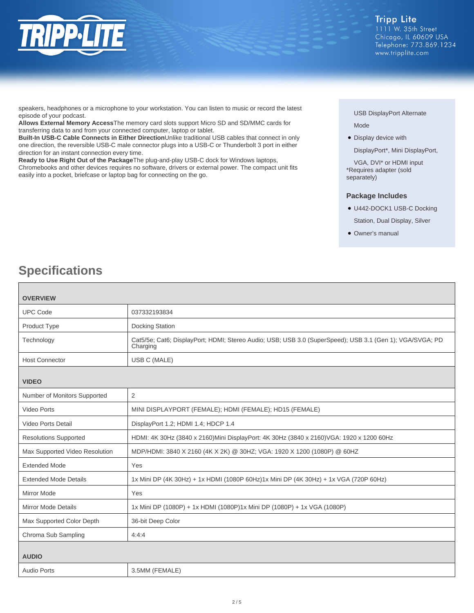

speakers, headphones or a microphone to your workstation. You can listen to music or record the latest episode of your podcast.

**Allows External Memory Access**The memory card slots support Micro SD and SD/MMC cards for transferring data to and from your connected computer, laptop or tablet.

**Built-In USB-C Cable Connects in Either Direction**Unlike traditional USB cables that connect in only one direction, the reversible USB-C male connector plugs into a USB-C or Thunderbolt 3 port in either direction for an instant connection every time.

**Ready to Use Right Out of the Package**The plug-and-play USB-C dock for Windows laptops, Chromebooks and other devices requires no software, drivers or external power. The compact unit fits easily into a pocket, briefcase or laptop bag for connecting on the go.

#### USB DisplayPort Alternate

Mode

• Display device with

DisplayPort\*, Mini DisplayPort,

VGA, DVI\* or HDMI input \*Requires adapter (sold separately)

#### **Package Includes**

- U442-DOCK1 USB-C Docking Station, Dual Display, Silver
- Owner's manual

# **Specifications**

| <b>OVERVIEW</b>                |                                                                                                                      |  |
|--------------------------------|----------------------------------------------------------------------------------------------------------------------|--|
| <b>UPC Code</b>                | 037332193834                                                                                                         |  |
| Product Type                   | <b>Docking Station</b>                                                                                               |  |
| Technology                     | Cat5/5e; Cat6; DisplayPort; HDMI; Stereo Audio; USB; USB 3.0 (SuperSpeed); USB 3.1 (Gen 1); VGA/SVGA; PD<br>Charging |  |
| <b>Host Connector</b>          | USB C (MALE)                                                                                                         |  |
| <b>VIDEO</b>                   |                                                                                                                      |  |
| Number of Monitors Supported   | 2                                                                                                                    |  |
| <b>Video Ports</b>             | MINI DISPLAYPORT (FEMALE); HDMI (FEMALE); HD15 (FEMALE)                                                              |  |
| <b>Video Ports Detail</b>      | DisplayPort 1.2; HDMI 1.4; HDCP 1.4                                                                                  |  |
| <b>Resolutions Supported</b>   | HDMI: 4K 30Hz (3840 x 2160) Mini DisplayPort: 4K 30Hz (3840 x 2160) VGA: 1920 x 1200 60Hz                            |  |
| Max Supported Video Resolution | MDP/HDMI: 3840 X 2160 (4K X 2K) @ 30HZ; VGA: 1920 X 1200 (1080P) @ 60HZ                                              |  |
| <b>Extended Mode</b>           | Yes                                                                                                                  |  |
| <b>Extended Mode Details</b>   | 1x Mini DP (4K 30Hz) + 1x HDMI (1080P 60Hz)1x Mini DP (4K 30Hz) + 1x VGA (720P 60Hz)                                 |  |
| <b>Mirror Mode</b>             | Yes                                                                                                                  |  |
| <b>Mirror Mode Details</b>     | 1x Mini DP (1080P) + 1x HDMI (1080P)1x Mini DP (1080P) + 1x VGA (1080P)                                              |  |
| Max Supported Color Depth      | 36-bit Deep Color                                                                                                    |  |
| Chroma Sub Sampling            | 4:4:4                                                                                                                |  |
| <b>AUDIO</b>                   |                                                                                                                      |  |
| <b>Audio Ports</b>             | 3.5MM (FEMALE)                                                                                                       |  |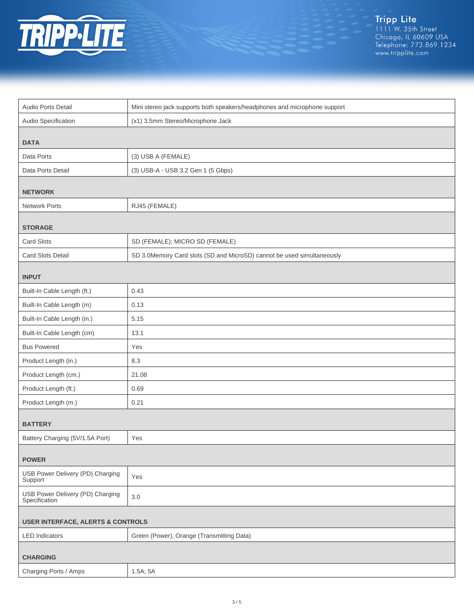

| Audio Ports Detail                                | Mini stereo jack supports both speakers/headphones and microphone support |  |
|---------------------------------------------------|---------------------------------------------------------------------------|--|
| Audio Specification                               | (x1) 3.5mm Stereo/Microphone Jack                                         |  |
|                                                   |                                                                           |  |
| <b>DATA</b>                                       |                                                                           |  |
| Data Ports                                        | (3) USB A (FEMALE)                                                        |  |
| Data Ports Detail                                 | (3) USB-A - USB 3.2 Gen 1 (5 Gbps)                                        |  |
| <b>NETWORK</b>                                    |                                                                           |  |
| <b>Network Ports</b>                              | RJ45 (FEMALE)                                                             |  |
| <b>STORAGE</b>                                    |                                                                           |  |
| Card Slots                                        | SD (FEMALE); MICRO SD (FEMALE)                                            |  |
| Card Slots Detail                                 | SD 3.0Memory Card slots (SD and MicroSD) cannot be used simultaneously    |  |
| <b>INPUT</b>                                      |                                                                           |  |
| Built-In Cable Length (ft.)                       | 0.43                                                                      |  |
| Built-In Cable Length (m)                         | 0.13                                                                      |  |
| Built-In Cable Length (in.)                       | 5.15                                                                      |  |
| Built-In Cable Length (cm)                        | 13.1                                                                      |  |
| <b>Bus Powered</b>                                | Yes                                                                       |  |
| Product Length (in.)                              | 8.3                                                                       |  |
| Product Length (cm.)                              | 21.08                                                                     |  |
| Product Length (ft.)                              | 0.69                                                                      |  |
| Product Length (m.)                               | 0.21                                                                      |  |
| <b>BATTERY</b>                                    |                                                                           |  |
| Battery Charging (5V/1.5A Port)                   | Yes                                                                       |  |
| <b>POWER</b>                                      |                                                                           |  |
| USB Power Delivery (PD) Charging<br>Support       | Yes                                                                       |  |
| USB Power Delivery (PD) Charging<br>Specification | 3.0                                                                       |  |
| <b>USER INTERFACE, ALERTS &amp; CONTROLS</b>      |                                                                           |  |
| <b>LED</b> Indicators                             | Green (Power), Orange (Transmitting Data)                                 |  |
| <b>CHARGING</b>                                   |                                                                           |  |
| Charging Ports / Amps                             | 1.5A; 5A                                                                  |  |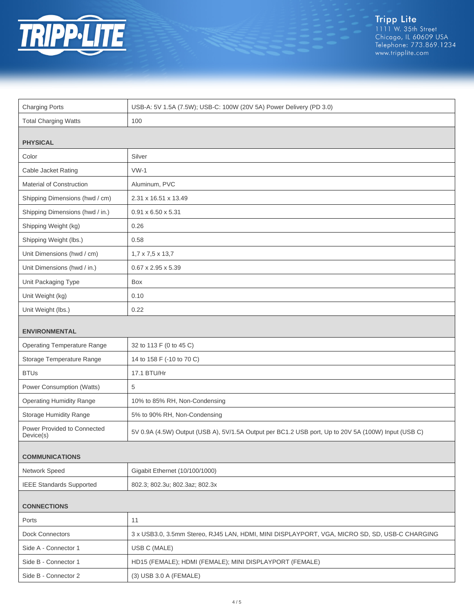

| <b>Charging Ports</b>                    | USB-A: 5V 1.5A (7.5W); USB-C: 100W (20V 5A) Power Delivery (PD 3.0)                                 |  |
|------------------------------------------|-----------------------------------------------------------------------------------------------------|--|
| <b>Total Charging Watts</b>              | 100                                                                                                 |  |
|                                          |                                                                                                     |  |
| <b>PHYSICAL</b>                          |                                                                                                     |  |
| Color                                    | Silver                                                                                              |  |
| Cable Jacket Rating                      | $VW-1$                                                                                              |  |
| Material of Construction                 | Aluminum, PVC                                                                                       |  |
| Shipping Dimensions (hwd / cm)           | 2.31 x 16.51 x 13.49                                                                                |  |
| Shipping Dimensions (hwd / in.)          | $0.91 \times 6.50 \times 5.31$                                                                      |  |
| Shipping Weight (kg)                     | 0.26                                                                                                |  |
| Shipping Weight (lbs.)                   | 0.58                                                                                                |  |
| Unit Dimensions (hwd / cm)               | $1,7 \times 7,5 \times 13,7$                                                                        |  |
| Unit Dimensions (hwd / in.)              | $0.67$ x 2.95 x 5.39                                                                                |  |
| Unit Packaging Type                      | <b>Box</b>                                                                                          |  |
| Unit Weight (kg)                         | 0.10                                                                                                |  |
| Unit Weight (lbs.)                       | 0.22                                                                                                |  |
| <b>ENVIRONMENTAL</b>                     |                                                                                                     |  |
| <b>Operating Temperature Range</b>       | 32 to 113 F (0 to 45 C)                                                                             |  |
| Storage Temperature Range                | 14 to 158 F (-10 to 70 C)                                                                           |  |
| <b>BTUs</b>                              | 17.1 BTU/Hr                                                                                         |  |
| Power Consumption (Watts)                | 5                                                                                                   |  |
| <b>Operating Humidity Range</b>          | 10% to 85% RH, Non-Condensing                                                                       |  |
| <b>Storage Humidity Range</b>            | 5% to 90% RH, Non-Condensing                                                                        |  |
| Power Provided to Connected<br>Device(s) | 5V 0.9A (4.5W) Output (USB A), 5V/1.5A Output per BC1.2 USB port, Up to 20V 5A (100W) Input (USB C) |  |
| <b>COMMUNICATIONS</b>                    |                                                                                                     |  |
| Network Speed                            | Gigabit Ethernet (10/100/1000)                                                                      |  |
| <b>IEEE Standards Supported</b>          | 802.3; 802.3u; 802.3az; 802.3x                                                                      |  |
|                                          |                                                                                                     |  |
| <b>CONNECTIONS</b>                       |                                                                                                     |  |
| Ports                                    | 11                                                                                                  |  |
| <b>Dock Connectors</b>                   | 3 x USB3.0, 3.5mm Stereo, RJ45 LAN, HDMI, MINI DISPLAYPORT, VGA, MICRO SD, SD, USB-C CHARGING       |  |
| Side A - Connector 1                     | USB C (MALE)                                                                                        |  |
| Side B - Connector 1                     | HD15 (FEMALE); HDMI (FEMALE); MINI DISPLAYPORT (FEMALE)                                             |  |
| Side B - Connector 2                     | (3) USB 3.0 A (FEMALE)                                                                              |  |